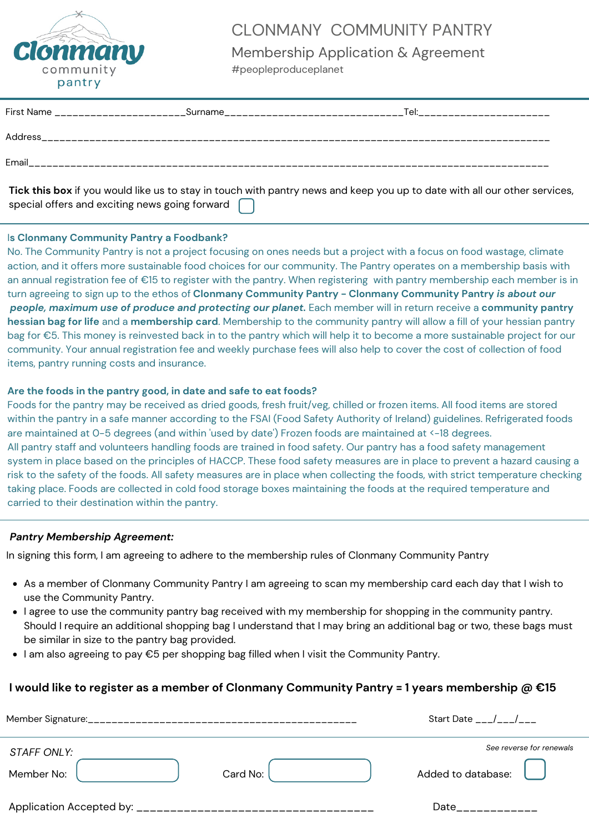

### CLONMANY COMMUNITY PANTRY

Membership Application & Agreement #peopleproduceplanet

| <b>First Name</b> | Surname | Tel: |
|-------------------|---------|------|
| <b>Address</b>    |         |      |
| Email             |         |      |
|                   |         |      |

**Tick this box** if you would like us to stay in touch with pantry news and keep you up to date with all our other services, special offers and exciting news going forward

#### I**s Clonmany Community Pantry a Foodbank?**

No. The Community Pantry is not a project focusing on ones needs but a project with a focus on food wastage, climate action, and it offers more sustainable food choices for our community. The Pantry operates on a membership basis with an annual registration fee of €15 to register with the pantry. When registering with pantry membership each member is in turn agreeing to sign up to the ethos of **Clonmany Community Pantry - Clonmany Community Pantry** *is about our people, maximum use of produce and protecting our planet.* Each member will in return receive a **community pantry hessian bag for life** and a **membership card**. Membership to the community pantry will allow a fill of your hessian pantry bag for €5. This money is reinvested back in to the pantry which will help it to become a more sustainable project for our community. Your annual registration fee and weekly purchase fees will also help to cover the cost of collection of food items, pantry running costs and insurance.

#### **Are the foods in the pantry good, in date and safe to eat foods?**

Foods for the pantry may be received as dried goods, fresh fruit/veg, chilled or frozen items. All food items are stored within the pantry in a safe manner according to the FSAI (Food Safety Authority of Ireland) guidelines. Refrigerated foods are maintained at 0-5 degrees (and within 'used by date') Frozen foods are maintained at <-18 degrees. All pantry staff and volunteers handling foods are trained in food safety. Our pantry has a food safety management system in place based on the principles of HACCP. These food safety measures are in place to prevent a hazard causing a risk to the safety of the foods. All safety measures are in place when collecting the foods, with strict temperature checking taking place. Foods are collected in cold food storage boxes maintaining the foods at the required temperature and carried to their destination within the pantry.

#### *Pantry Membership Agreement:*

In signing this form, I am agreeing to adhere to the membership rules of Clonmany Community Pantry

- As a member of Clonmany Community Pantry I am agreeing to scan my membership card each day that I wish to use the Community Pantry.
- I agree to use the community pantry bag received with my membership for shopping in the community pantry. Should I require an additional shopping bag I understand that I may bring an additional bag or two, these bags must be similar in size to the pantry bag provided.
- I am also agreeing to pay €5 per shopping bag filled when I visit the Community Pantry.

#### **I would like to register as a member of Clonmany Community Pantry = 1 years membership @ €15**

|                    |          | Start Date / /           |
|--------------------|----------|--------------------------|
| <b>STAFF ONLY:</b> |          | See reverse for renewals |
| Member No:         | Card No: | Added to database:       |
|                    |          | Date                     |